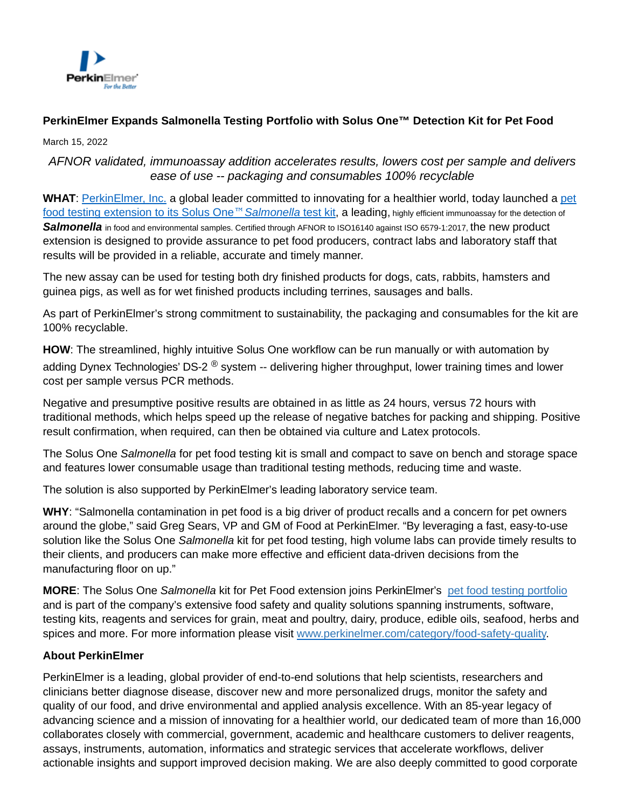

## **PerkinElmer Expands Salmonella Testing Portfolio with Solus One™ Detection Kit for Pet Food**

March 15, 2022

## AFNOR validated, immunoassay addition accelerates results, lowers cost per sample and delivers ease of use -- packaging and consumables 100% recyclable

**WHAT**: [PerkinElmer, Inc.](http://www.perkinelmer.com/) a global lea[der committed to innovating for a healthier world, today launched a pet](https://www.perkinelmer.com/uk/libraries/abr-solus-one-salmonella-for-petfood) food testing extension to its Solus One™ Salmonella test kit, a leading, highly efficient immunoassay for the detection of Salmonella in food and environmental samples. Certified through AFNOR to ISO16140 against ISO 6579-1:2017, the new product extension is designed to provide assurance to pet food producers, contract labs and laboratory staff that results will be provided in a reliable, accurate and timely manner.

The new assay can be used for testing both dry finished products for dogs, cats, rabbits, hamsters and guinea pigs, as well as for wet finished products including terrines, sausages and balls.

As part of PerkinElmer's strong commitment to sustainability, the packaging and consumables for the kit are 100% recyclable.

**HOW**: The streamlined, highly intuitive Solus One workflow can be run manually or with automation by adding Dynex Technologies' DS-2  $^{\circledR}$  system -- delivering higher throughput, lower training times and lower cost per sample versus PCR methods.

Negative and presumptive positive results are obtained in as little as 24 hours, versus 72 hours with traditional methods, which helps speed up the release of negative batches for packing and shipping. Positive result confirmation, when required, can then be obtained via culture and Latex protocols.

The Solus One Salmonella for pet food testing kit is small and compact to save on bench and storage space and features lower consumable usage than traditional testing methods, reducing time and waste.

The solution is also supported by PerkinElmer's leading laboratory service team.

**WHY**: "Salmonella contamination in pet food is a big driver of product recalls and a concern for pet owners around the globe," said Greg Sears, VP and GM of Food at PerkinElmer. "By leveraging a fast, easy-to-use solution like the Solus One Salmonella kit for pet food testing, high volume labs can provide timely results to their clients, and producers can make more effective and efficient data-driven decisions from the manufacturing floor on up."

**MORE**: The Solus One Salmonella kit for Pet Food extension joins PerkinElmer's [pet food testing portfolio](https://www.perkinelmer.com/category/petfood-testing-solutions) and is part of the company's extensive food safety and quality solutions spanning instruments, software, testing kits, reagents and services for grain, meat and poultry, dairy, produce, edible oils, seafood, herbs and spices and more. For more information please visit [www.perkinelmer.com/category/food-safety-quality.](https://cts.businesswire.com/ct/CT?id=smartlink&url=http%3A%2F%2Fwww.perkinelmer.com%2Fcategory%2Ffood-safety-quality&esheet=52214482&newsitemid=20200511005016&lan=en-US&anchor=www.perkinelmer.com%2Fcategory%2Ffood-safety-quality&index=3&md5=7f2b29a66218569c78eba75ef9420e31)

## **About PerkinElmer**

PerkinElmer is a leading, global provider of end-to-end solutions that help scientists, researchers and clinicians better diagnose disease, discover new and more personalized drugs, monitor the safety and quality of our food, and drive environmental and applied analysis excellence. With an 85-year legacy of advancing science and a mission of innovating for a healthier world, our dedicated team of more than 16,000 collaborates closely with commercial, government, academic and healthcare customers to deliver reagents, assays, instruments, automation, informatics and strategic services that accelerate workflows, deliver actionable insights and support improved decision making. We are also deeply committed to good corporate